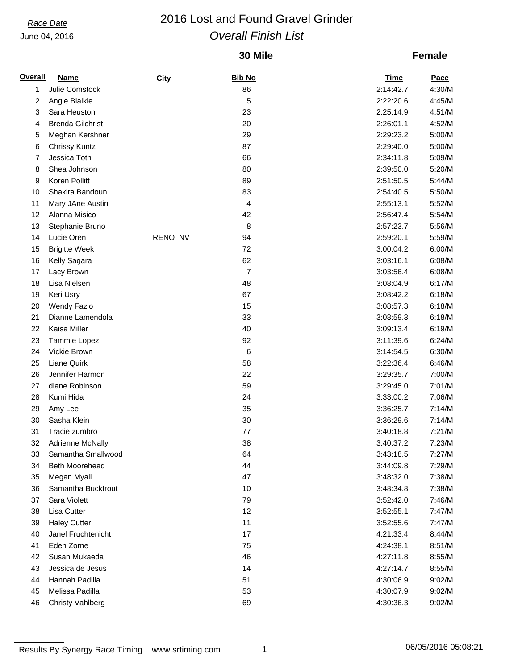# *Race Date* 2016 Lost and Found Gravel Grinder *Overall Finish List*

### **30 Mile**

### **Female**

| <b>Overall</b> | <b>Name</b>             | City    | <b>Bib No</b> | <b>Time</b> | Pace   |
|----------------|-------------------------|---------|---------------|-------------|--------|
| 1              | Julie Comstock          |         | 86            | 2:14:42.7   | 4:30/M |
| 2              | Angie Blaikie           |         | 5             | 2:22:20.6   | 4:45/M |
| 3              | Sara Heuston            |         | 23            | 2:25:14.9   | 4:51/M |
| 4              | <b>Brenda Gilchrist</b> |         | 20            | 2:26:01.1   | 4:52/M |
| 5              | Meghan Kershner         |         | 29            | 2:29:23.2   | 5:00/M |
| 6              | <b>Chrissy Kuntz</b>    |         | 87            | 2:29:40.0   | 5:00/M |
| 7              | Jessica Toth            |         | 66            | 2:34:11.8   | 5:09/M |
| 8              | Shea Johnson            |         | 80            | 2:39:50.0   | 5:20/M |
| 9              | Koren Pollitt           |         | 89            | 2:51:50.5   | 5:44/M |
| 10             | Shakira Bandoun         |         | 83            | 2:54:40.5   | 5:50/M |
| 11             | Mary JAne Austin        |         | 4             | 2:55:13.1   | 5:52/M |
| 12             | Alanna Misico           |         | 42            | 2:56:47.4   | 5:54/M |
| 13             | Stephanie Bruno         |         | 8             | 2:57:23.7   | 5:56/M |
| 14             | Lucie Oren              | RENO NV | 94            | 2:59:20.1   | 5:59/M |
| 15             | <b>Brigitte Week</b>    |         | 72            | 3:00:04.2   | 6:00/M |
| 16             | Kelly Sagara            |         | 62            | 3:03:16.1   | 6:08/M |
| 17             | Lacy Brown              |         | 7             | 3:03:56.4   | 6:08/M |
| 18             | Lisa Nielsen            |         | 48            | 3:08:04.9   | 6:17/M |
| 19             | Keri Usry               |         | 67            | 3:08:42.2   | 6:18/M |
| 20             | <b>Wendy Fazio</b>      |         | 15            | 3:08:57.3   | 6:18/M |
| 21             | Dianne Lamendola        |         | 33            | 3:08:59.3   | 6:18/M |
| 22             | Kaisa Miller            |         | 40            | 3:09:13.4   | 6:19/M |
| 23             | Tammie Lopez            |         | 92            | 3:11:39.6   | 6:24/M |
| 24             | Vickie Brown            |         | 6             | 3:14:54.5   | 6:30/M |
| 25             | Liane Quirk             |         | 58            | 3:22:36.4   | 6:46/M |
| 26             | Jennifer Harmon         |         | 22            | 3:29:35.7   | 7:00/M |
| 27             | diane Robinson          |         | 59            | 3:29:45.0   | 7:01/M |
| 28             | Kumi Hida               |         | 24            | 3:33:00.2   | 7:06/M |
| 29             | Amy Lee                 |         | 35            | 3:36:25.7   | 7:14/M |
| 30             | Sasha Klein             |         | 30            | 3:36:29.6   | 7:14/M |
| 31             | Tracie zumbro           |         | 77            | 3:40:18.8   | 7:21/M |
| 32             | <b>Adrienne McNally</b> |         | 38            | 3:40:37.2   | 7:23/M |
| 33             | Samantha Smallwood      |         | 64            | 3:43:18.5   | 7:27/M |
| 34             | Beth Moorehead          |         | 44            | 3:44:09.8   | 7:29/M |
| 35             | Megan Myall             |         | 47            | 3:48:32.0   | 7:38/M |
| 36             | Samantha Bucktrout      |         | 10            | 3:48:34.8   | 7:38/M |
| 37             | Sara Violett            |         | 79            | 3:52:42.0   | 7:46/M |
| 38             | Lisa Cutter             |         | 12            | 3:52:55.1   | 7:47/M |
| 39             | <b>Haley Cutter</b>     |         | 11            | 3:52:55.6   | 7:47/M |
| 40             | Janel Fruchtenicht      |         | 17            | 4:21:33.4   | 8:44/M |
| 41             | Eden Zorne              |         | 75            | 4:24:38.1   | 8:51/M |
| 42             | Susan Mukaeda           |         | 46            | 4:27:11.8   | 8:55/M |
| 43             | Jessica de Jesus        |         | 14            | 4:27:14.7   | 8:55/M |
| 44             | Hannah Padilla          |         | 51            | 4:30:06.9   | 9:02/M |
| 45             | Melissa Padilla         |         | 53            | 4:30:07.9   | 9:02/M |
| 46             | <b>Christy Vahlberg</b> |         | 69            | 4:30:36.3   | 9:02/M |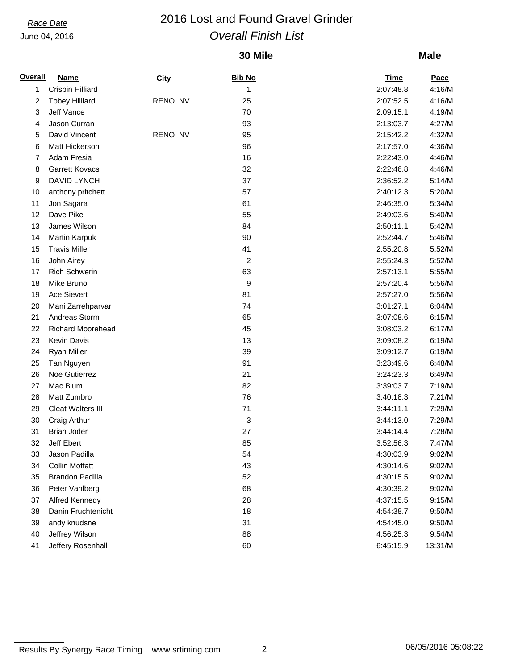## *Race Date* 2016 Lost and Found Gravel Grinder *Overall Finish List*

### **30 Mile**

| Overall | <b>Name</b>              | City    | <b>Bib No</b> | <b>Time</b> | <b>Pace</b> |
|---------|--------------------------|---------|---------------|-------------|-------------|
| 1       | Crispin Hilliard         |         | 1             | 2:07:48.8   | 4:16/M      |
| 2       | <b>Tobey Hilliard</b>    | RENO NV | 25            | 2:07:52.5   | 4:16/M      |
| 3       | Jeff Vance               |         | 70            | 2:09:15.1   | 4:19/M      |
| 4       | Jason Curran             |         | 93            | 2:13:03.7   | 4:27/M      |
| 5       | David Vincent            | RENO NV | 95            | 2:15:42.2   | 4:32/M      |
| 6       | Matt Hickerson           |         | 96            | 2:17:57.0   | 4:36/M      |
| 7       | Adam Fresia              |         | 16            | 2:22:43.0   | 4:46/M      |
| 8       | <b>Garrett Kovacs</b>    |         | 32            | 2:22:46.8   | 4:46/M      |
| 9       | DAVID LYNCH              |         | 37            | 2:36:52.2   | 5:14/M      |
| 10      | anthony pritchett        |         | 57            | 2:40:12.3   | 5:20/M      |
| 11      | Jon Sagara               |         | 61            | 2:46:35.0   | 5:34/M      |
| 12      | Dave Pike                |         | 55            | 2:49:03.6   | 5:40/M      |
| 13      | James Wilson             |         | 84            | 2:50:11.1   | 5:42/M      |
| 14      | Martin Karpuk            |         | 90            | 2:52:44.7   | 5:46/M      |
| 15      | <b>Travis Miller</b>     |         | 41            | 2:55:20.8   | 5:52/M      |
| 16      | John Airey               |         | 2             | 2:55:24.3   | 5:52/M      |
| 17      | <b>Rich Schwerin</b>     |         | 63            | 2:57:13.1   | 5:55/M      |
| 18      | Mike Bruno               |         | 9             | 2:57:20.4   | 5:56/M      |
| 19      | <b>Ace Sievert</b>       |         | 81            | 2:57:27.0   | 5:56/M      |
| 20      | Mani Zarrehparvar        |         | 74            | 3:01:27.1   | 6:04/M      |
| 21      | Andreas Storm            |         | 65            | 3:07:08.6   | 6:15/M      |
| 22      | <b>Richard Moorehead</b> |         | 45            | 3:08:03.2   | 6:17/M      |
| 23      | Kevin Davis              |         | 13            | 3:09:08.2   | 6:19/M      |
| 24      | <b>Ryan Miller</b>       |         | 39            | 3:09:12.7   | 6:19/M      |
| 25      | Tan Nguyen               |         | 91            | 3:23:49.6   | 6:48/M      |
| 26      | Noe Gutierrez            |         | 21            | 3:24:23.3   | 6:49/M      |
| 27      | Mac Blum                 |         | 82            | 3:39:03.7   | 7:19/M      |
| 28      | Matt Zumbro              |         | 76            | 3:40:18.3   | 7:21/M      |
| 29      | <b>Cleat Walters III</b> |         | 71            | 3:44:11.1   | 7:29/M      |
| 30      | Craig Arthur             |         | 3             | 3:44:13.0   | 7:29/M      |
| 31      | <b>Brian Joder</b>       |         | 27            | 3:44:14.4   | 7:28/M      |
| 32      | Jeff Ebert               |         | 85            | 3:52:56.3   | 7:47/M      |
| 33      | Jason Padilla            |         | 54            | 4:30:03.9   | 9:02/M      |
| 34      | <b>Collin Moffatt</b>    |         | 43            | 4:30:14.6   | 9:02/M      |
| 35      | <b>Brandon Padilla</b>   |         | 52            | 4:30:15.5   | 9:02/M      |
| 36      | Peter Vahlberg           |         | 68            | 4:30:39.2   | 9:02/M      |
| 37      | Alfred Kennedy           |         | 28            | 4:37:15.5   | 9:15/M      |
| 38      | Danin Fruchtenicht       |         | 18            | 4:54:38.7   | 9:50/M      |
| 39      | andy knudsne             |         | 31            | 4:54:45.0   | 9:50/M      |
| 40      | Jeffrey Wilson           |         | 88            | 4:56:25.3   | 9:54/M      |
| 41      | Jeffery Rosenhall        |         | 60            | 6:45:15.9   | 13:31/M     |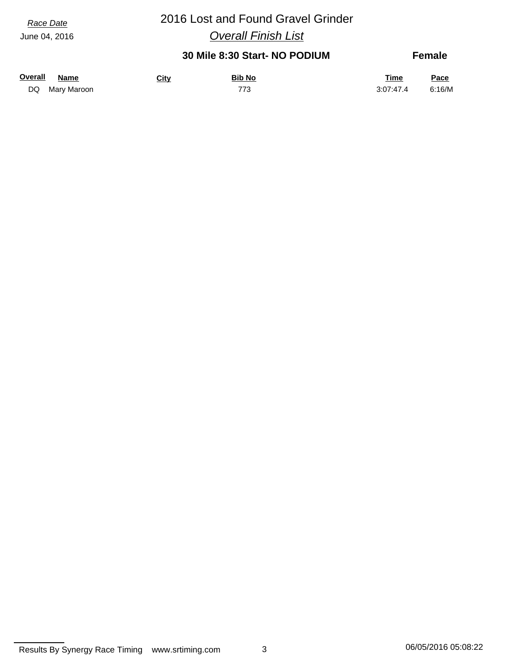# *Race Date* 2016 Lost and Found Gravel Grinder

*Overall Finish List*

### **30 Mile 8:30 Start- NO PODIUM**

**Female**

| <u>Overall</u> | <u>Name</u>    | <u>City</u> | <b>Bib No</b> | <b>Time</b> | Pace   |
|----------------|----------------|-------------|---------------|-------------|--------|
|                | DQ Mary Maroon |             | 773           | 3:07:47.4   | 6:16/M |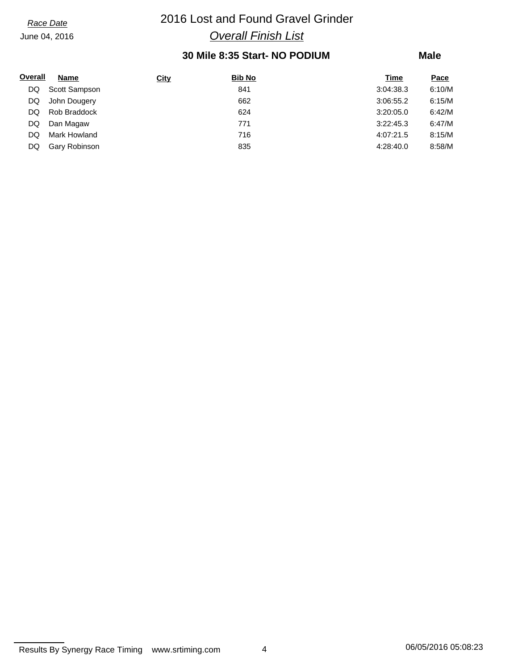# *Race Date* 2016 Lost and Found Gravel Grinder *Overall Finish List*

### **30 Mile 8:35 Start- NO PODIUM**

| Overall | <b>Name</b>   | <b>City</b> | <b>Bib No</b> | Time      | Pace   |
|---------|---------------|-------------|---------------|-----------|--------|
| DQ      | Scott Sampson |             | 841           | 3:04:38.3 | 6:10/M |
| DQ      | John Dougery  |             | 662           | 3:06:55.2 | 6:15/M |
| DQ      | Rob Braddock  |             | 624           | 3:20:05.0 | 6:42/M |
| DQ      | Dan Magaw     |             | 771           | 3:22:45.3 | 6:47/M |
| DQ      | Mark Howland  |             | 716           | 4:07:21.5 | 8:15/M |
| DQ      | Gary Robinson |             | 835           | 4:28:40.0 | 8:58/M |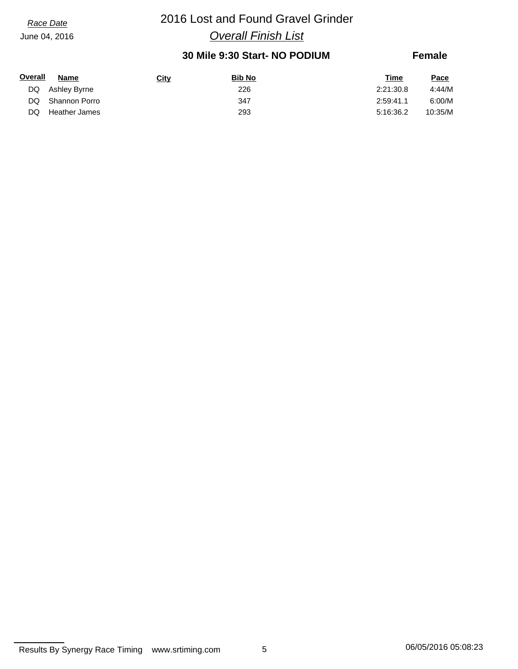# *Race Date* 2016 Lost and Found Gravel Grinder *Overall Finish List*

### **30 Mile 9:30 Start- NO PODIUM**

### **Female**

| Overall | Name            | <u>City</u> | <b>Bib No</b> | Time      | Pace    |
|---------|-----------------|-------------|---------------|-----------|---------|
|         | DQ Ashley Byrne |             | 226           | 2:21:30.8 | 4:44/M  |
| DQ.     | Shannon Porro   |             | 347           | 2:59:41.1 | 6:00/M  |
| DQ      | Heather James   |             | 293           | 5:16:36.2 | 10:35/M |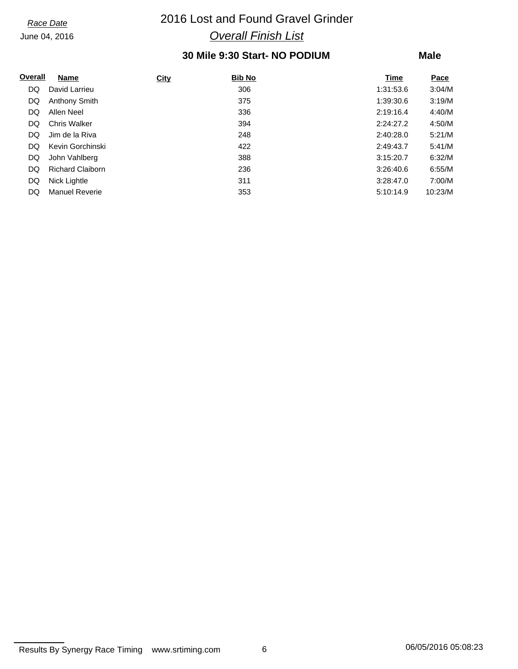# *Race Date* 2016 Lost and Found Gravel Grinder *Overall Finish List*

### **30 Mile 9:30 Start- NO PODIUM**

### **Male**

| Overall | <b>Name</b>             | <b>City</b> | <b>Bib No</b> | Time      | Pace    |
|---------|-------------------------|-------------|---------------|-----------|---------|
| DQ      | David Larrieu           |             | 306           | 1:31:53.6 | 3:04/M  |
| DQ      | <b>Anthony Smith</b>    |             | 375           | 1:39:30.6 | 3:19/M  |
| DQ      | Allen Neel              |             | 336           | 2:19:16.4 | 4:40/M  |
| DQ      | <b>Chris Walker</b>     |             | 394           | 2:24:27.2 | 4:50/M  |
| DQ      | Jim de la Riva          |             | 248           | 2:40:28.0 | 5:21/M  |
| DQ      | Kevin Gorchinski        |             | 422           | 2:49:43.7 | 5:41/M  |
| DQ      | John Vahlberg           |             | 388           | 3:15:20.7 | 6:32/M  |
| DQ      | <b>Richard Claiborn</b> |             | 236           | 3:26:40.6 | 6:55/M  |
| DQ      | Nick Lightle            |             | 311           | 3:28:47.0 | 7:00/M  |
| DQ      | <b>Manuel Reverie</b>   |             | 353           | 5:10:14.9 | 10:23/M |

Results By Synergy Race Timing www.srtiming.com 6 6 06/05/2016 05:08:23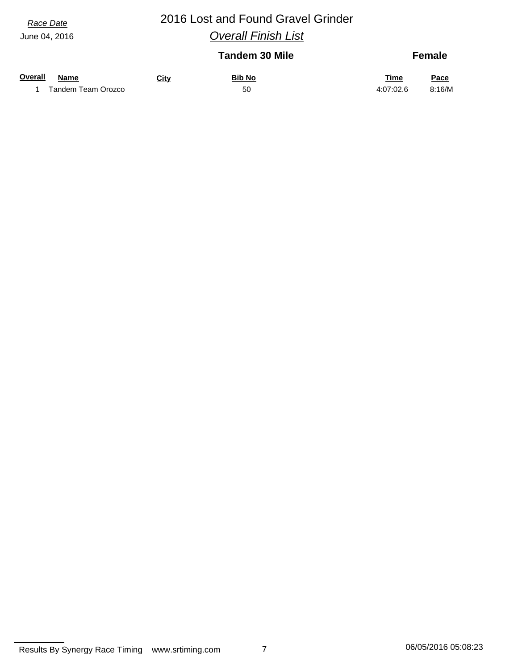## *Race Date* 2016 Lost and Found Gravel Grinder *Overall Finish List*

|                        |             | <b>Tandem 30 Mile</b> |           | <b>Female</b> |
|------------------------|-------------|-----------------------|-----------|---------------|
| Overall<br><b>Name</b> | <b>City</b> | <b>Bib No</b>         | Time      | Pace          |
| Tandem Team Orozco     |             | 50                    | 4:07:02.6 | 8:16/M        |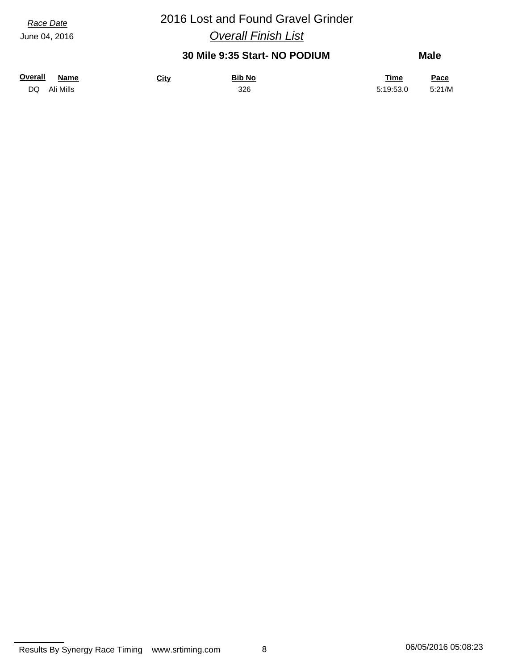# *Race Date* 2016 Lost and Found Gravel Grinder

*Overall Finish List*

### **30 Mile 9:35 Start- NO PODIUM**

| <b>Overall</b> | <b>Name</b> | <b>Bib No</b><br><u>City</u> | <b>Time</b> | <u>Pace</u> |
|----------------|-------------|------------------------------|-------------|-------------|
| DQ             | Ali Mills   | 326                          | 5:19:53.0   | 5:21/M      |